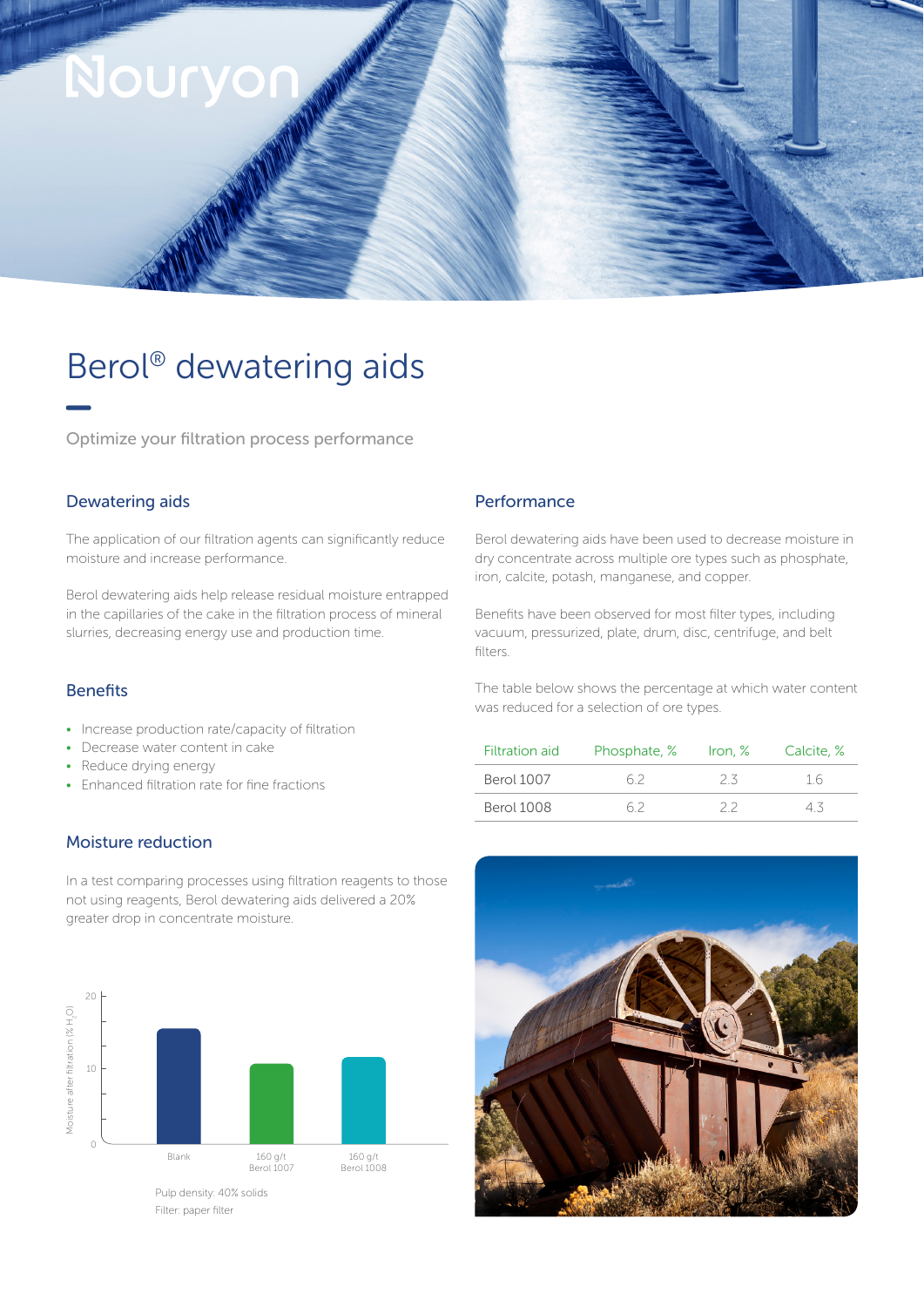

# Berol® dewatering aids

Optimize your filtration process performance

#### Dewatering aids

The application of our filtration agents can significantly reduce moisture and increase performance.

Berol dewatering aids help release residual moisture entrapped in the capillaries of the cake in the filtration process of mineral slurries, decreasing energy use and production time.

## Benefits

- Increase production rate/capacity of filtration
- Decrease water content in cake
- Reduce drying energy
- Enhanced filtration rate for fine fractions

### Moisture reduction

In a test comparing processes using filtration reagents to those not using reagents, Berol dewatering aids delivered a 20% greater drop in concentrate moisture.



#### **Performance**

Berol dewatering aids have been used to decrease moisture in dry concentrate across multiple ore types such as phosphate, iron, calcite, potash, manganese, and copper.

Benefits have been observed for most filter types, including vacuum, pressurized, plate, drum, disc, centrifuge, and belt filters.

The table below shows the percentage at which water content was reduced for a selection of ore types.

| <b>Filtration aid</b> | Phosphate, % | Iron, $%$ | Calcite, % |
|-----------------------|--------------|-----------|------------|
| <b>Berol 1007</b>     | 62           | フろ        | 16         |
| Berol 1008            |              | フフ        |            |